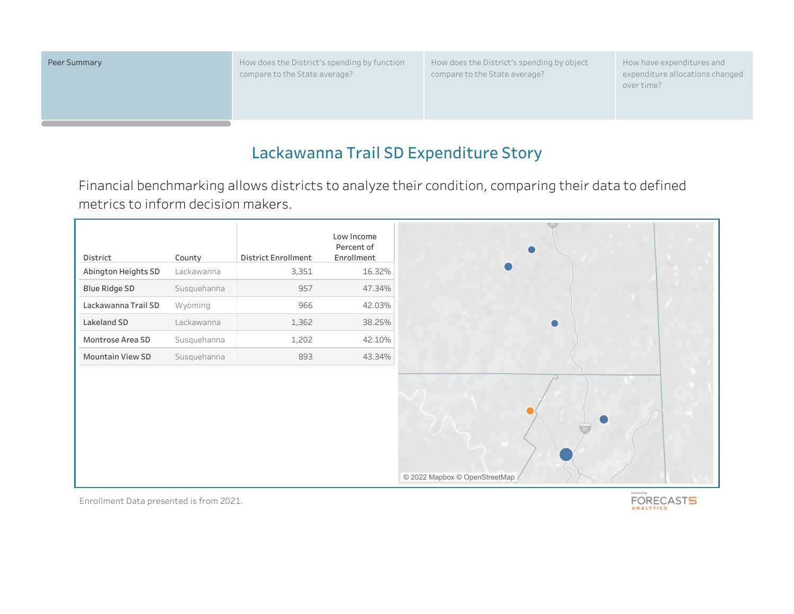Peer Summary **Example 20 August 2018** How does the District's spending by function compare to the State average?

How does the District's spending by object compare to the State average?

How have expenditures and expenditure allocations changed over time?

## **Lackawanna Trail SD Expenditure Story**

Financial benchmarking allows districts to analyze their condition, comparing their data to defined metrics to inform decision makers.

|                                 |                      | District Enrollment | Low Income<br>Percent of |
|---------------------------------|----------------------|---------------------|--------------------------|
| District<br>Abington Heights SD | County<br>Lackawanna | 3,351               | Enrollment<br>16.32%     |
| <b>Blue Ridge SD</b>            | Susquehanna          | 957                 | 47.34%                   |
| Lackawanna Trail SD             | Wyoming              | 966                 | 42.03%                   |
| Lakeland SD                     | Lackawanna           | 1,362               | 38.25%                   |
| Montrose Area SD                | Susquehanna          | 1,202               | 42.10%                   |
| Mountain View SD                | Susquehanna          | 893                 | 43.34%                   |
|                                 |                      |                     |                          |
|                                 |                      |                     |                          |

Enrollment Data presented is from 2021.

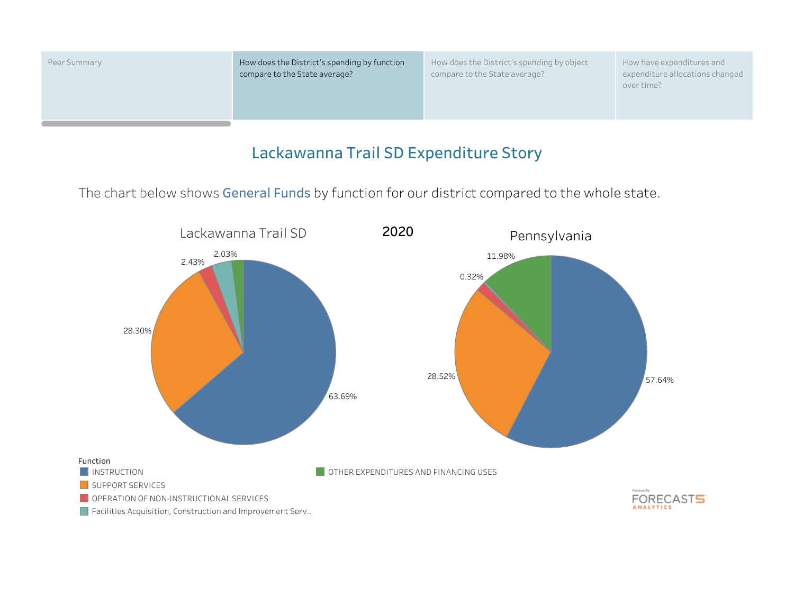

Peer Summary **How does the District's spending by function** compare to the State average?

How does the District's spending by object compare to the State average?

How have expenditures and expenditure allocations changed over time?

### **Lackawanna Trail SD Expenditure Story**

The chart below shows **General Funds** by function for our district compared to the whole state.

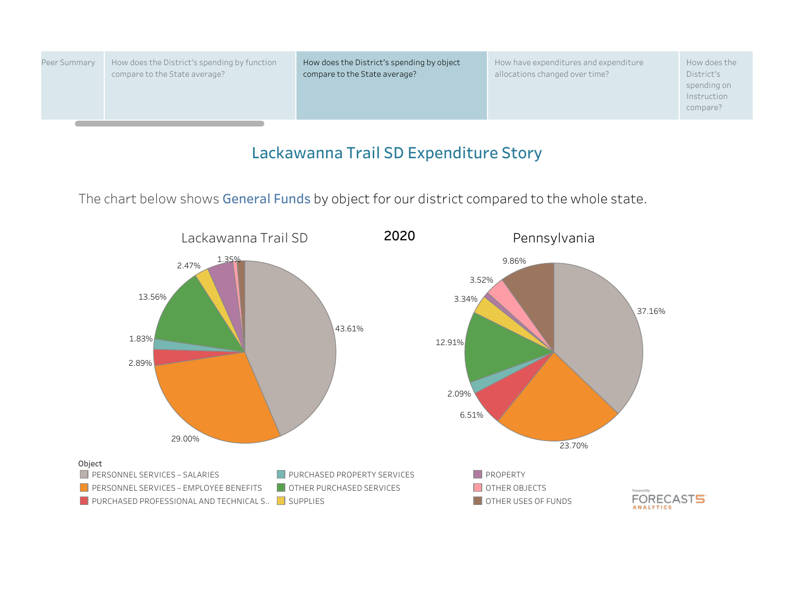| Peer Summary | How does the District's spending by function<br>compare to the State average? | How does the District's spending by object<br>compare to the State average? | How have expenditures and expenditure<br>allocations changed over time? | How does the<br>District's<br>spending on<br>Instruction<br>compare? |
|--------------|-------------------------------------------------------------------------------|-----------------------------------------------------------------------------|-------------------------------------------------------------------------|----------------------------------------------------------------------|
|              |                                                                               |                                                                             |                                                                         |                                                                      |

The chart below shows **General Funds** by object for our district compared to the whole state.

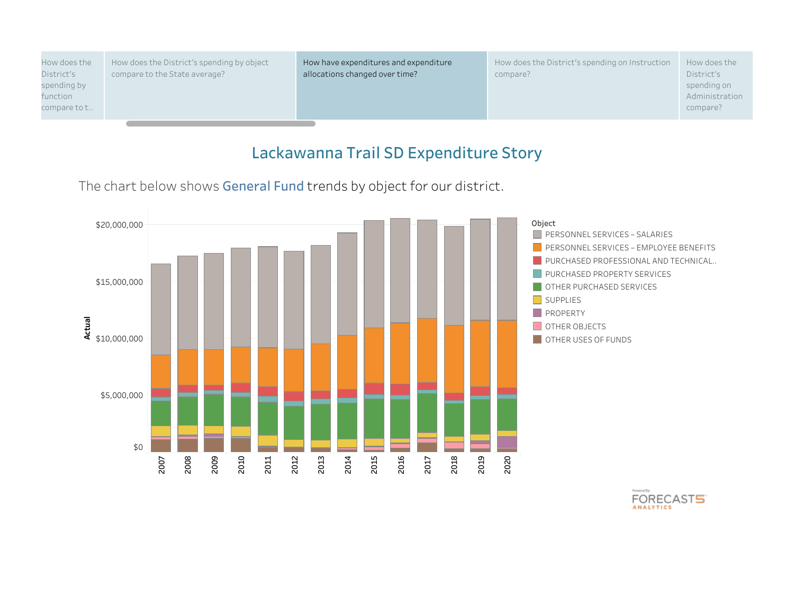| How does the                            | How does the District's spending by object | How have expenditures and expenditure | How does the District's spending on Instruction | How does the                              |
|-----------------------------------------|--------------------------------------------|---------------------------------------|-------------------------------------------------|-------------------------------------------|
| District's                              | compare to the State average?              | allocations changed over time?        | compare?                                        | District's                                |
| spending by<br>function<br>compare to t |                                            |                                       |                                                 | spending on<br>Administration<br>compare? |

The chart below shows **General Fund** trends by object for our district.



FORECAST5 **ANALYTICS**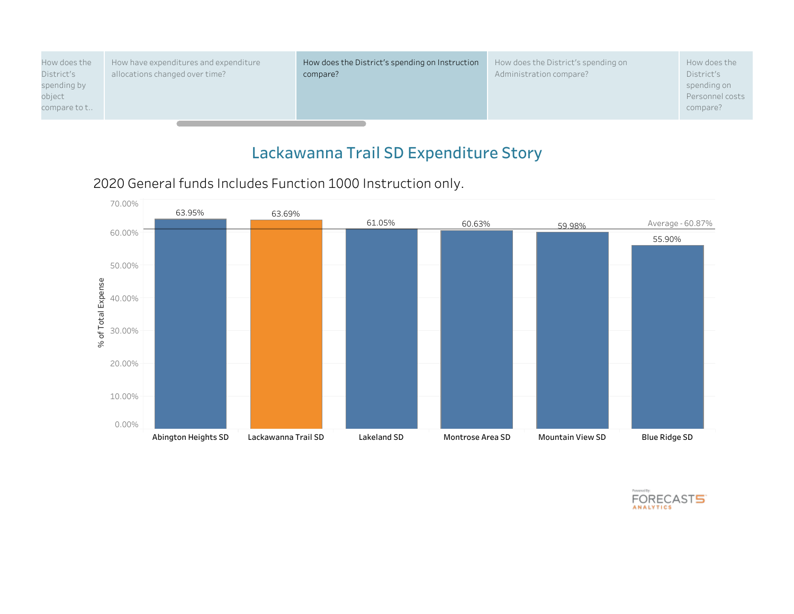| How does the                          | How have expenditures and expenditure | How does the District's spending on Instruction | How does the District's spending on | How does the                               |
|---------------------------------------|---------------------------------------|-------------------------------------------------|-------------------------------------|--------------------------------------------|
| District's                            | allocations changed over time?        | compare?                                        | Administration compare?             | District's                                 |
| spending by<br>object<br>compare to t |                                       |                                                 |                                     | spending on<br>Personnel costs<br>compare? |





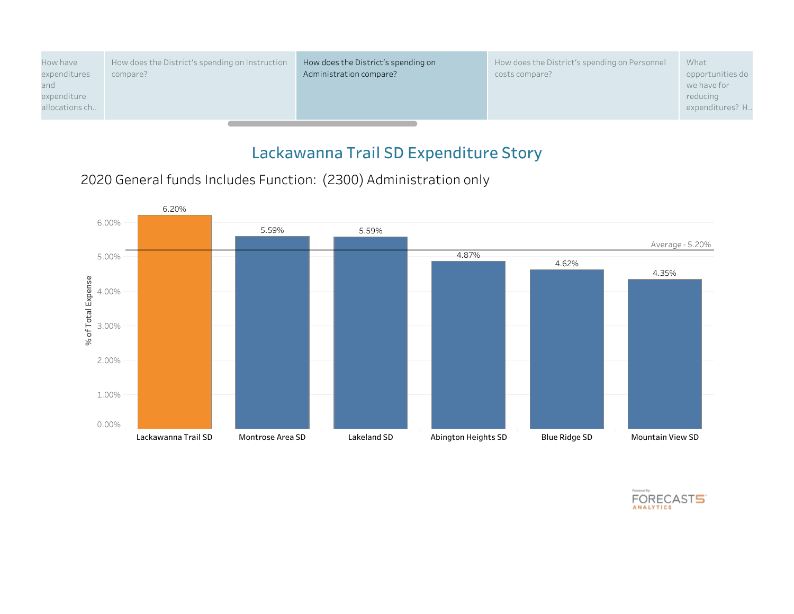| opportunities do |
|------------------|
| we have for      |
| reducing         |
| expenditures? H  |
|                  |
|                  |

2020 General funds Includes Function: (2300) Administration only



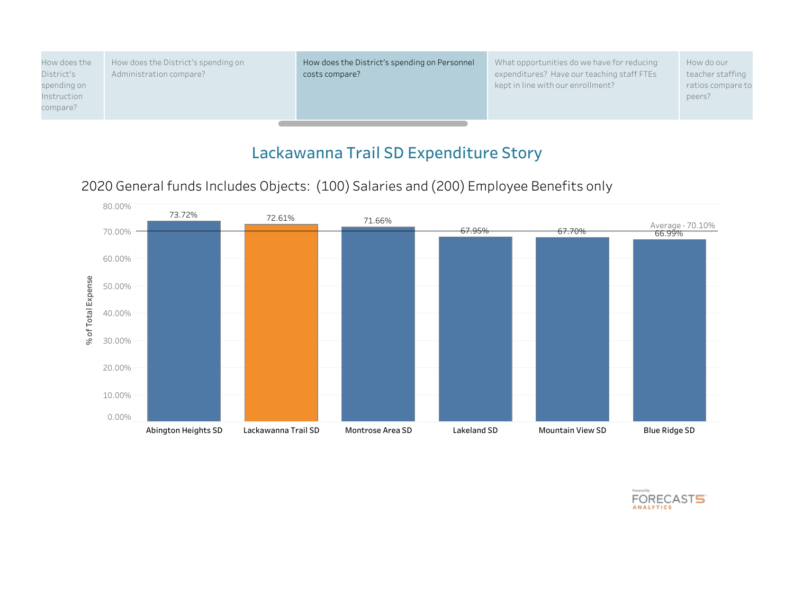| How does the | How does the District's spending on | How does the District's spending on Personnel | What opportunities do we have for reducing | How do our        |
|--------------|-------------------------------------|-----------------------------------------------|--------------------------------------------|-------------------|
| District's   | Administration compare?             | costs compare?                                | expenditures? Have our teaching staff FTEs | teacher staffing  |
| spending on  |                                     |                                               | kept in line with our enrollment?          | ratios compare to |
| Instruction  |                                     |                                               |                                            | peers?            |
| compare?     |                                     |                                               |                                            |                   |
|              |                                     |                                               |                                            |                   |





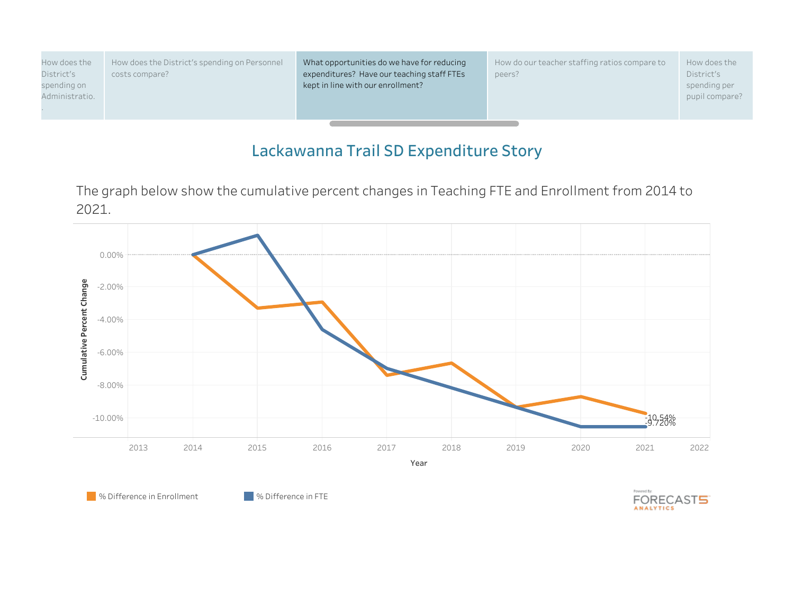| How does the                  | How does the District's spending on Personnel | What opportunities do we have for reducing | How do our teacher staffing ratios compare to | How does the                   |
|-------------------------------|-----------------------------------------------|--------------------------------------------|-----------------------------------------------|--------------------------------|
| District's                    | costs compare?                                | expenditures? Have our teaching staff FTEs | peers?                                        | District's                     |
| spending on<br>Administratio. |                                               | kept in line with our enrollment?          |                                               | spending per<br>pupil compare? |

The graph below show the cumulative percent changes in Teaching FTE and Enrollment from 2014 to 2021.



**8** % Difference in Enrollment 6 % Difference in FTE

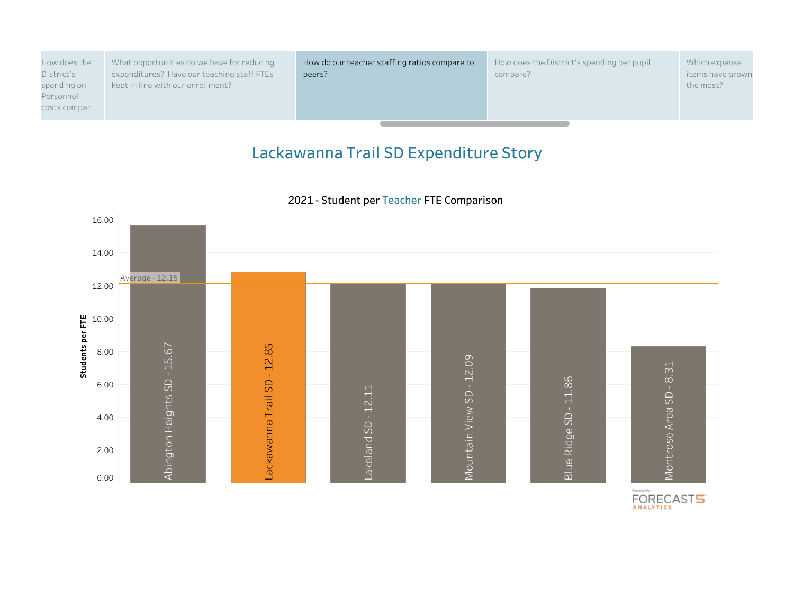| How does the | What opportunities do we have for reducing | How do our teacher staffing ratios compare to | How does the District's spending per pupil | Which expense    |
|--------------|--------------------------------------------|-----------------------------------------------|--------------------------------------------|------------------|
| District's   | expenditures? Have our teaching staff FTEs | peers?                                        | compare?                                   | items have grown |
| spending on  | kept in line with our enrollment?          |                                               |                                            | the most?        |
| Personnel    |                                            |                                               |                                            |                  |
| costs compar |                                            |                                               |                                            |                  |
|              |                                            |                                               |                                            |                  |



**2021 - Student per Teacher FTE Comparison**

FORECASTS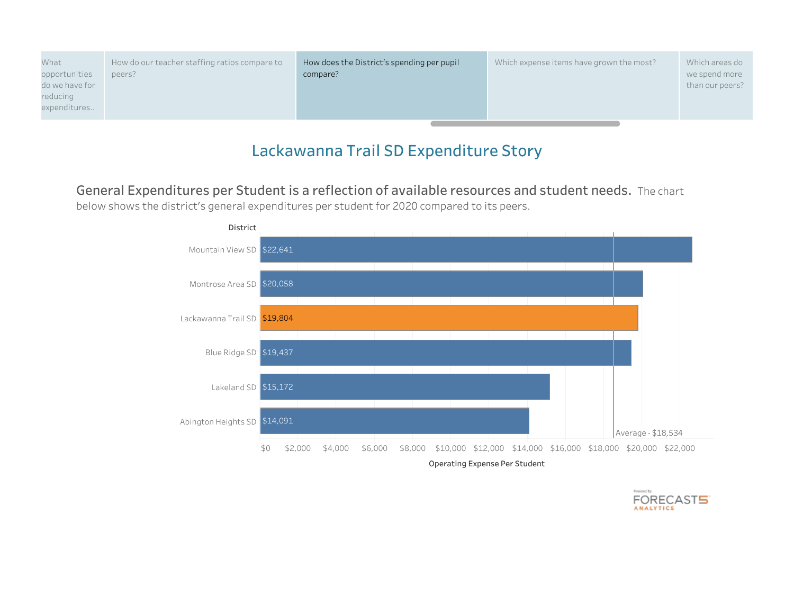| What           | How do our teacher staffing ratios compare to | How does the District's spending per pupil | Which expense items have grown the most? | Which areas do  |
|----------------|-----------------------------------------------|--------------------------------------------|------------------------------------------|-----------------|
| opportunities  | peers?                                        | compare?                                   |                                          | we spend more   |
| do we have for |                                               |                                            |                                          | than our peers? |
| reducing       |                                               |                                            |                                          |                 |
| expenditures   |                                               |                                            |                                          |                 |
|                |                                               |                                            |                                          |                 |

**General Expenditures per Student is a reflection of available resources and student needs.** The chart below shows the district's general expenditures per student for 2020 compared to its peers.



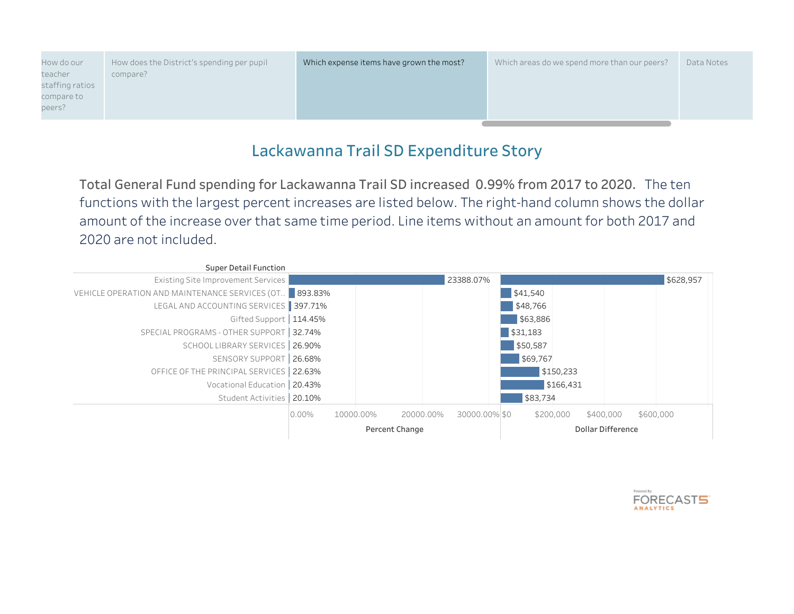| How do our      | How does the District's spending per pupil | Which expense items have grown the most? | Which areas do we spend more than our peers? | Data Notes |
|-----------------|--------------------------------------------|------------------------------------------|----------------------------------------------|------------|
| teacher         | compare?                                   |                                          |                                              |            |
| staffing ratios |                                            |                                          |                                              |            |
| compare to      |                                            |                                          |                                              |            |
| peers?          |                                            |                                          |                                              |            |
|                 |                                            |                                          |                                              |            |

**Total General Fund spending for Lackawanna Trail SD increased 0.99% from 2017 to 2020.** The ten functions with the largest percent increases are listed below. The right-hand column shows the dollar amount of the increase over that same time period. Line items without an amount for both 2017 and 2020 are not included.

| <b>Super Detail Function</b>                            |          |                |           |               |           |                   |           |
|---------------------------------------------------------|----------|----------------|-----------|---------------|-----------|-------------------|-----------|
| <b>Existing Site Improvement Services</b>               |          |                |           | 23388.07%     |           |                   | \$628,957 |
| VEHICLE OPERATION AND MAINTENANCE SERVICES (OT. 393.83% |          |                |           |               | \$41,540  |                   |           |
| LEGAL AND ACCOUNTING SERVICES                           | 397.71%  |                |           |               | \$48,766  |                   |           |
| Gifted Support   114.45%                                |          |                |           |               | \$63,886  |                   |           |
| SPECIAL PROGRAMS - OTHER SUPPORT                        | 32.74%   |                |           |               | \$31,183  |                   |           |
| SCHOOL LIBRARY SERVICES                                 | 26.90%   |                |           |               | \$50,587  |                   |           |
| SENSORY SUPPORT                                         | 26.68%   |                |           |               | \$69,767  |                   |           |
| OFFICE OF THE PRINCIPAL SERVICES                        | 22.63%   |                |           |               | \$150,233 |                   |           |
| Vocational Education                                    | 20.43%   |                |           |               | \$166,431 |                   |           |
| <b>Student Activities</b>                               | 20.10%   |                |           |               | \$83,734  |                   |           |
|                                                         | $0.00\%$ | 10000.00%      | 20000.00% | 30000.00% \$0 | \$200,000 | \$400,000         | \$600,000 |
|                                                         |          | Percent Change |           |               |           | Dollar Difference |           |

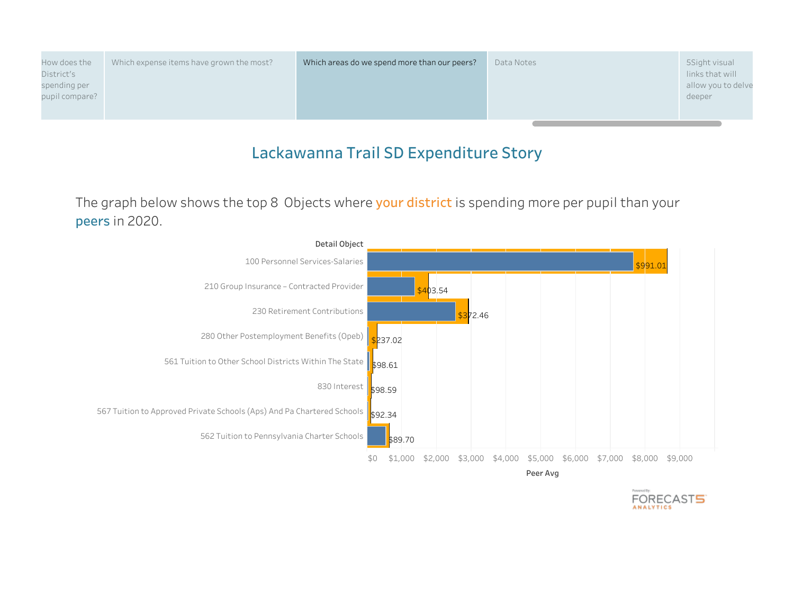| spending per<br>pupil compare?<br>deeper | How does the<br>District's | Which expense items have grown the most? | Which areas do we spend more than our peers? | Data Notes | 5Sight visual<br>links that will<br>allow you to delve |
|------------------------------------------|----------------------------|------------------------------------------|----------------------------------------------|------------|--------------------------------------------------------|
|------------------------------------------|----------------------------|------------------------------------------|----------------------------------------------|------------|--------------------------------------------------------|

The graph below shows the top 8 Objects where **your district** is spending more per pupil than your **peers** in 2020.



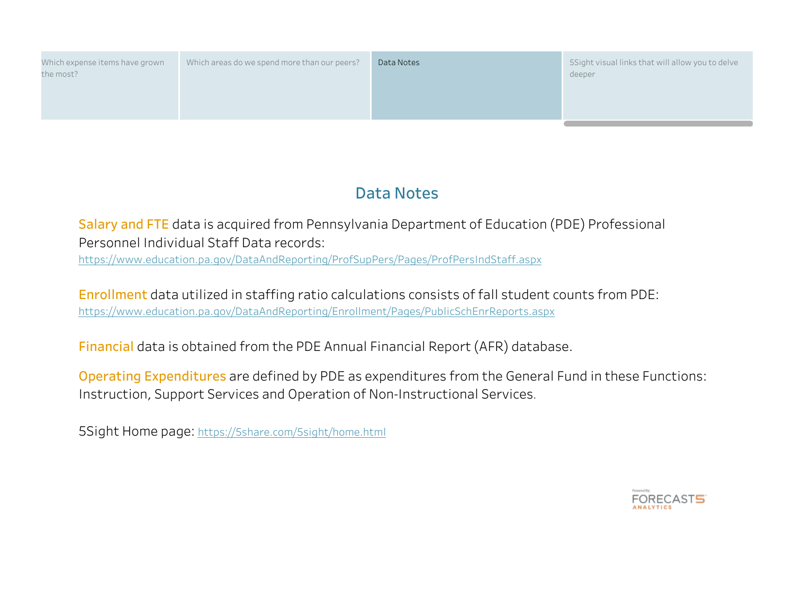| Which expense items have grown<br>the most? | Which areas do we spend more than our peers? | Data Notes | 5Sight visual links that will allow you to delve<br>deeper |
|---------------------------------------------|----------------------------------------------|------------|------------------------------------------------------------|
|                                             |                                              |            |                                                            |

# **Data Notes**

**Salary and FTE** data is acquired from Pennsylvania Department of Education (PDE) Professional Personnel Individual Staff Data records:

https://www.education.pa.gov/DataAndReporting/ProfSupPers/Pages/ProfPersIndStaff.aspx

**Enrollment** data utilized in staffing ratio calculations consists of fall student counts from PDE: https://www.education.pa.gov/DataAndReporting/Enrollment/Pages/PublicSchEnrReports.aspx

**Financial** data is obtained from the PDE Annual Financial Report (AFR) database.

**Operating Expenditures** are defined by PDE as expenditures from the General Fund in these Functions: Instruction, Support Services and Operation of Non-Instructional Services.

5Sight Home page: https://5share.com/5sight/home.html